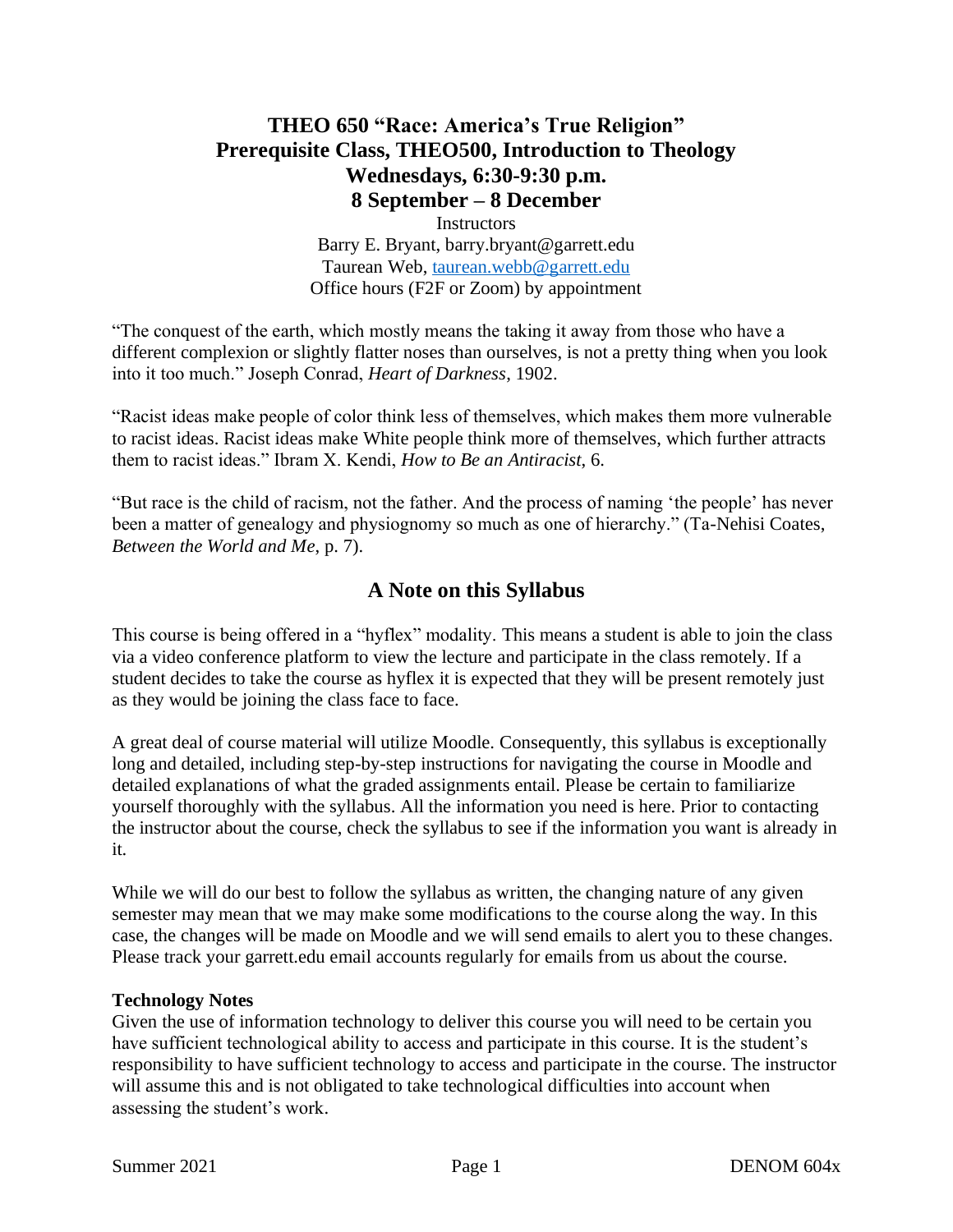# **THEO 650 "Race: America's True Religion" Prerequisite Class, THEO500, Introduction to Theology Wednesdays, 6:30-9:30 p.m. 8 September – 8 December**

Instructors Barry E. Bryant, barry.bryant@garrett.edu Taurean Web, [taurean.webb@garrett.edu](mailto:taurean.webb@garrett.edu) Office hours (F2F or Zoom) by appointment

"The conquest of the earth, which mostly means the taking it away from those who have a different complexion or slightly flatter noses than ourselves, is not a pretty thing when you look into it too much." Joseph Conrad, *Heart of Darkness*, 1902.

"Racist ideas make people of color think less of themselves, which makes them more vulnerable to racist ideas. Racist ideas make White people think more of themselves, which further attracts them to racist ideas." Ibram X. Kendi, *How to Be an Antiracist*, 6.

"But race is the child of racism, not the father. And the process of naming 'the people' has never been a matter of genealogy and physiognomy so much as one of hierarchy." (Ta-Nehisi Coates, *Between the World and Me*, p. 7).

# **A Note on this Syllabus**

This course is being offered in a "hyflex" modality. This means a student is able to join the class via a video conference platform to view the lecture and participate in the class remotely. If a student decides to take the course as hyflex it is expected that they will be present remotely just as they would be joining the class face to face.

A great deal of course material will utilize Moodle. Consequently, this syllabus is exceptionally long and detailed, including step-by-step instructions for navigating the course in Moodle and detailed explanations of what the graded assignments entail. Please be certain to familiarize yourself thoroughly with the syllabus. All the information you need is here. Prior to contacting the instructor about the course, check the syllabus to see if the information you want is already in it.

While we will do our best to follow the syllabus as written, the changing nature of any given semester may mean that we may make some modifications to the course along the way. In this case, the changes will be made on Moodle and we will send emails to alert you to these changes. Please track your garrett.edu email accounts regularly for emails from us about the course.

#### **Technology Notes**

Given the use of information technology to deliver this course you will need to be certain you have sufficient technological ability to access and participate in this course. It is the student's responsibility to have sufficient technology to access and participate in the course. The instructor will assume this and is not obligated to take technological difficulties into account when assessing the student's work.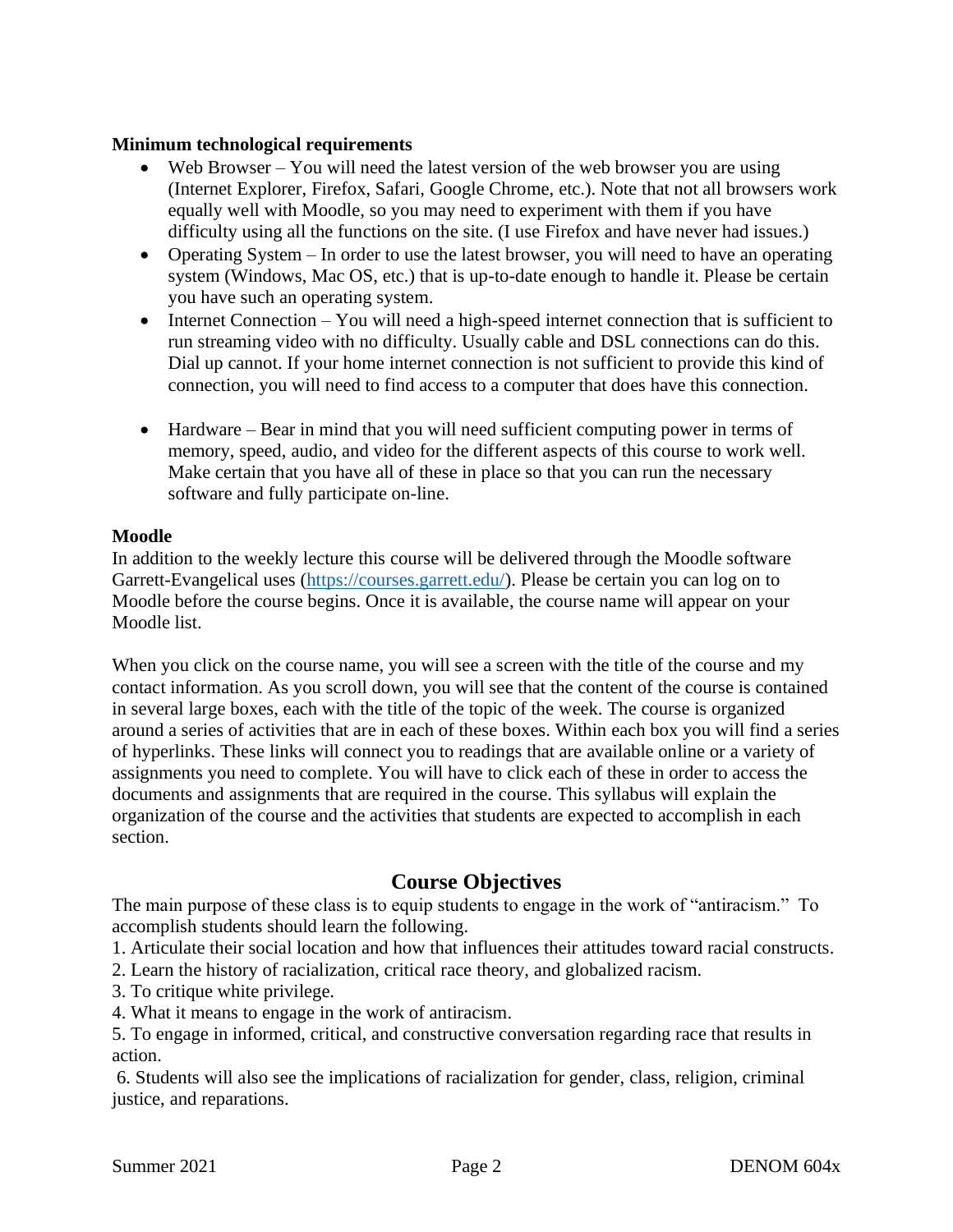## **Minimum technological requirements**

- Web Browser You will need the latest version of the web browser you are using (Internet Explorer, Firefox, Safari, Google Chrome, etc.). Note that not all browsers work equally well with Moodle, so you may need to experiment with them if you have difficulty using all the functions on the site. (I use Firefox and have never had issues.)
- Operating System In order to use the latest browser, you will need to have an operating system (Windows, Mac OS, etc.) that is up-to-date enough to handle it. Please be certain you have such an operating system.
- Internet Connection You will need a high-speed internet connection that is sufficient to run streaming video with no difficulty. Usually cable and DSL connections can do this. Dial up cannot. If your home internet connection is not sufficient to provide this kind of connection, you will need to find access to a computer that does have this connection.
- Hardware Bear in mind that you will need sufficient computing power in terms of memory, speed, audio, and video for the different aspects of this course to work well. Make certain that you have all of these in place so that you can run the necessary software and fully participate on-line.

## **Moodle**

In addition to the weekly lecture this course will be delivered through the Moodle software Garrett-Evangelical uses [\(https://courses.garrett.edu/\)](https://courses.garrett.edu/). Please be certain you can log on to Moodle before the course begins. Once it is available, the course name will appear on your Moodle list.

When you click on the course name, you will see a screen with the title of the course and my contact information. As you scroll down, you will see that the content of the course is contained in several large boxes, each with the title of the topic of the week. The course is organized around a series of activities that are in each of these boxes. Within each box you will find a series of hyperlinks. These links will connect you to readings that are available online or a variety of assignments you need to complete. You will have to click each of these in order to access the documents and assignments that are required in the course. This syllabus will explain the organization of the course and the activities that students are expected to accomplish in each section.

# **Course Objectives**

The main purpose of these class is to equip students to engage in the work of "antiracism." To accomplish students should learn the following.

1. Articulate their social location and how that influences their attitudes toward racial constructs.

2. Learn the history of racialization, critical race theory, and globalized racism.

- 3. To critique white privilege.
- 4. What it means to engage in the work of antiracism.

5. To engage in informed, critical, and constructive conversation regarding race that results in action.

6. Students will also see the implications of racialization for gender, class, religion, criminal justice, and reparations.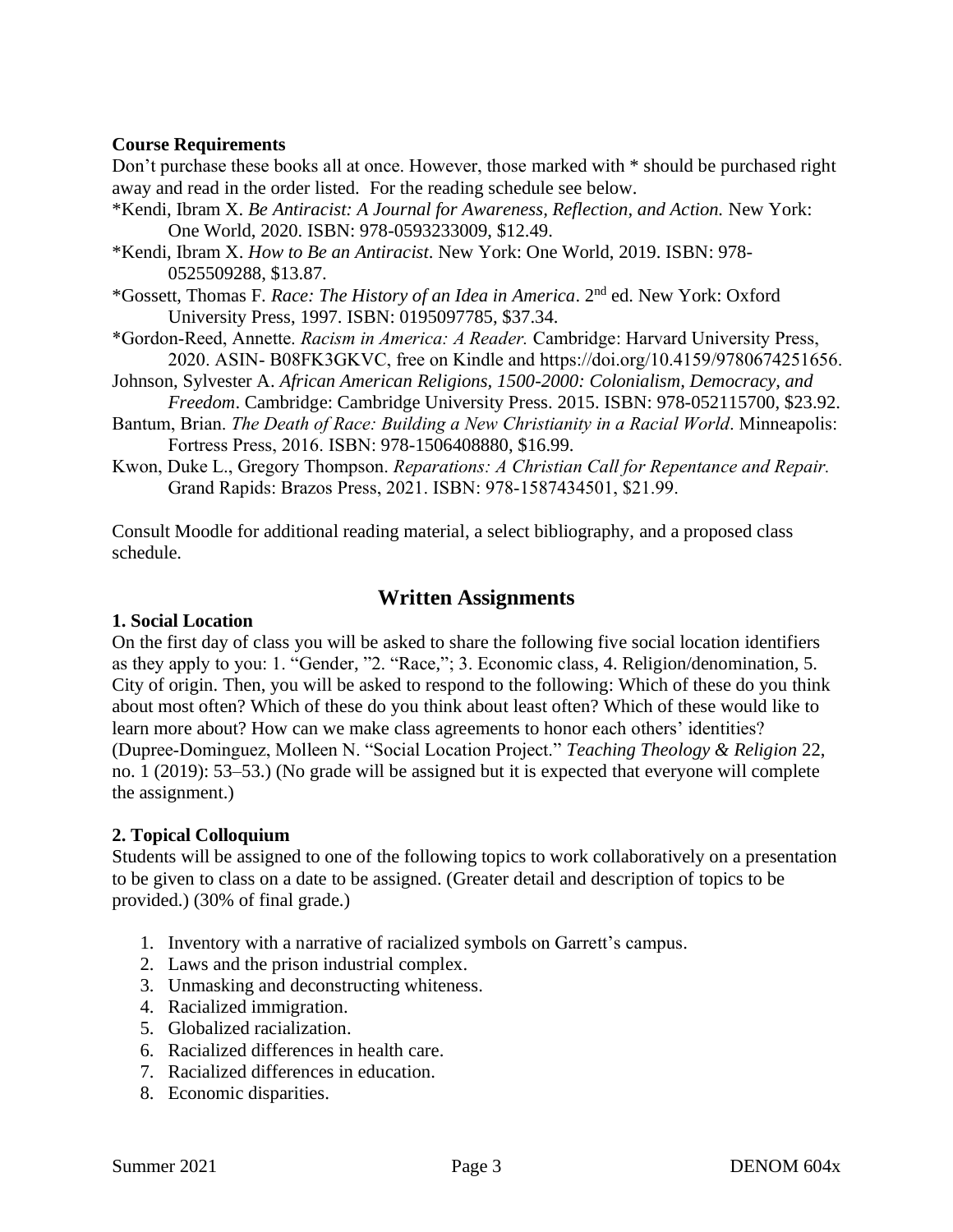### **Course Requirements**

Don't purchase these books all at once. However, those marked with \* should be purchased right away and read in the order listed. For the reading schedule see below.

- \*Kendi, Ibram X. *Be Antiracist: A Journal for Awareness, Reflection, and Action.* New York: One World, 2020. ISBN: 978-0593233009, \$12.49.
- \*Kendi, Ibram X. *How to Be an Antiracist*. New York: One World, 2019. ISBN: 978- 0525509288, \$13.87.

\*Gossett, Thomas F. *Race: The History of an Idea in America*. 2nd ed. New York: Oxford University Press, 1997. ISBN: 0195097785, \$37.34.

- \*Gordon-Reed, Annette. *Racism in America: A Reader.* Cambridge: Harvard University Press, 2020. ASIN- B08FK3GKVC, free on Kindle and https://doi.org/10.4159/9780674251656.
- Johnson, Sylvester A. *African American Religions, 1500-2000: Colonialism, Democracy, and Freedom*. Cambridge: Cambridge University Press. 2015. ISBN: 978-052115700, \$23.92.
- Bantum, Brian. *The Death of Race: Building a New Christianity in a Racial World*. Minneapolis: Fortress Press, 2016. ISBN: 978-1506408880, \$16.99.
- Kwon, Duke L., Gregory Thompson. *Reparations: A Christian Call for Repentance and Repair.*  Grand Rapids: Brazos Press, 2021. ISBN: 978-1587434501, \$21.99.

Consult Moodle for additional reading material, a select bibliography, and a proposed class schedule.

# **Written Assignments**

### **1. Social Location**

On the first day of class you will be asked to share the following five social location identifiers as they apply to you: 1. "Gender, "2. "Race,"; 3. Economic class, 4. Religion/denomination, 5. City of origin. Then, you will be asked to respond to the following: Which of these do you think about most often? Which of these do you think about least often? Which of these would like to learn more about? How can we make class agreements to honor each others' identities? (Dupree‐Dominguez, Molleen N. "Social Location Project." *Teaching Theology & Religion* 22, no. 1 (2019): 53–53.) (No grade will be assigned but it is expected that everyone will complete the assignment.)

#### **2. Topical Colloquium**

Students will be assigned to one of the following topics to work collaboratively on a presentation to be given to class on a date to be assigned. (Greater detail and description of topics to be provided.) (30% of final grade.)

- 1. Inventory with a narrative of racialized symbols on Garrett's campus.
- 2. Laws and the prison industrial complex.
- 3. Unmasking and deconstructing whiteness.
- 4. Racialized immigration.
- 5. Globalized racialization.
- 6. Racialized differences in health care.
- 7. Racialized differences in education.
- 8. Economic disparities.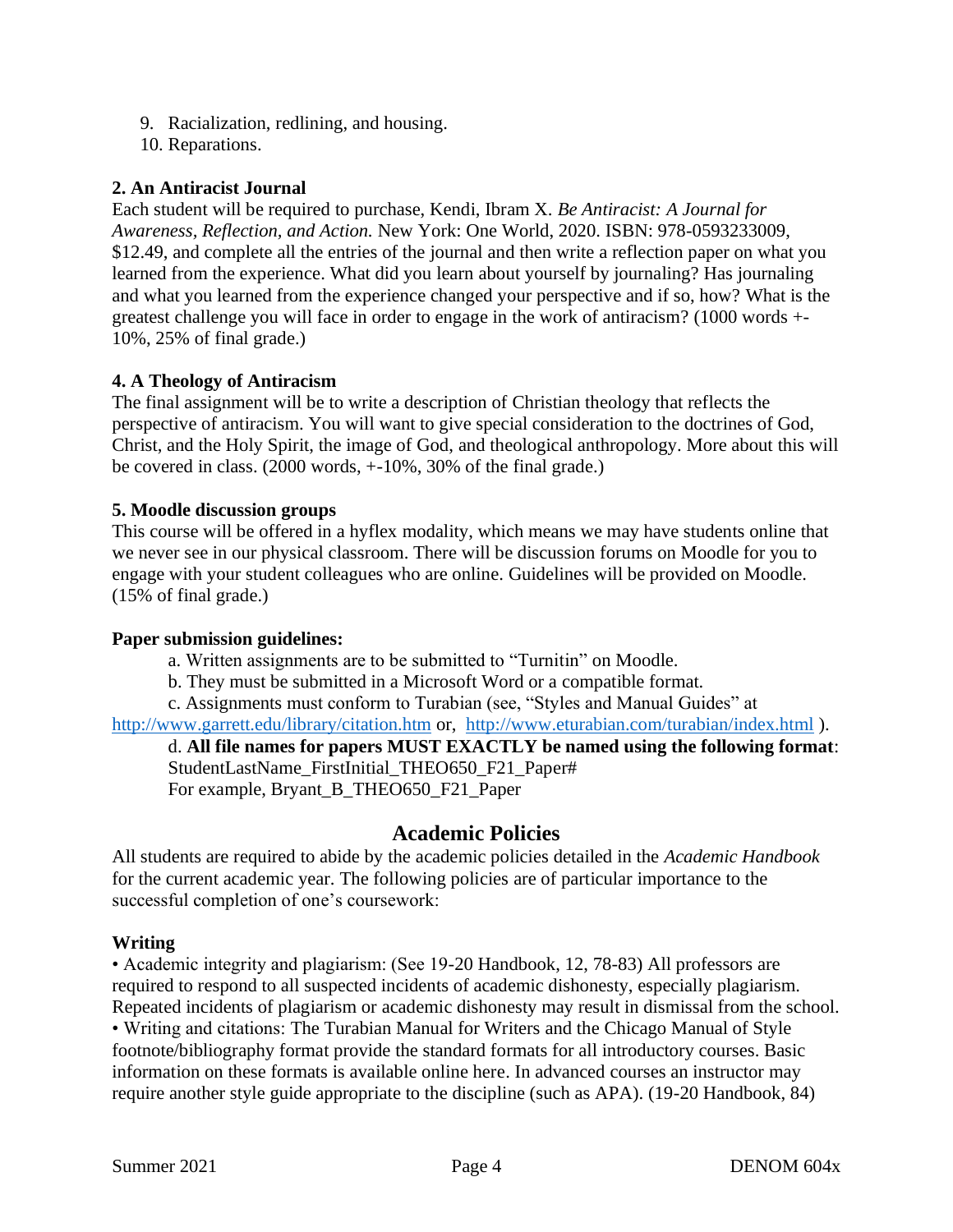- 9. Racialization, redlining, and housing.
- 10. Reparations.

# **2. An Antiracist Journal**

Each student will be required to purchase, Kendi, Ibram X. *Be Antiracist: A Journal for Awareness, Reflection, and Action.* New York: One World, 2020. ISBN: 978-0593233009, \$12.49, and complete all the entries of the journal and then write a reflection paper on what you learned from the experience. What did you learn about yourself by journaling? Has journaling and what you learned from the experience changed your perspective and if so, how? What is the greatest challenge you will face in order to engage in the work of antiracism? (1000 words +- 10%, 25% of final grade.)

## **4. A Theology of Antiracism**

The final assignment will be to write a description of Christian theology that reflects the perspective of antiracism. You will want to give special consideration to the doctrines of God, Christ, and the Holy Spirit, the image of God, and theological anthropology. More about this will be covered in class. (2000 words, +-10%, 30% of the final grade.)

## **5. Moodle discussion groups**

This course will be offered in a hyflex modality, which means we may have students online that we never see in our physical classroom. There will be discussion forums on Moodle for you to engage with your student colleagues who are online. Guidelines will be provided on Moodle. (15% of final grade.)

#### **Paper submission guidelines:**

a. Written assignments are to be submitted to "Turnitin" on Moodle.

b. They must be submitted in a Microsoft Word or a compatible format.

c. Assignments must conform to Turabian (see, "Styles and Manual Guides" at <http://www.garrett.edu/library/citation.htm> or, <http://www.eturabian.com/turabian/index.html> ).

d. **All file names for papers MUST EXACTLY be named using the following format**: StudentLastName\_FirstInitial\_THEO650\_F21\_Paper# For example, Bryant\_B\_THEO650\_F21\_Paper

# **Academic Policies**

All students are required to abide by the academic policies detailed in the *Academic Handbook* for the current academic year. The following policies are of particular importance to the successful completion of one's coursework:

## **Writing**

• Academic integrity and plagiarism: (See 19-20 Handbook, 12, 78-83) All professors are required to respond to all suspected incidents of academic dishonesty, especially plagiarism. Repeated incidents of plagiarism or academic dishonesty may result in dismissal from the school. • Writing and citations: The Turabian Manual for Writers and the Chicago Manual of Style footnote/bibliography format provide the standard formats for all introductory courses. Basic information on these formats is available online here. In advanced courses an instructor may require another style guide appropriate to the discipline (such as APA). (19-20 Handbook, 84)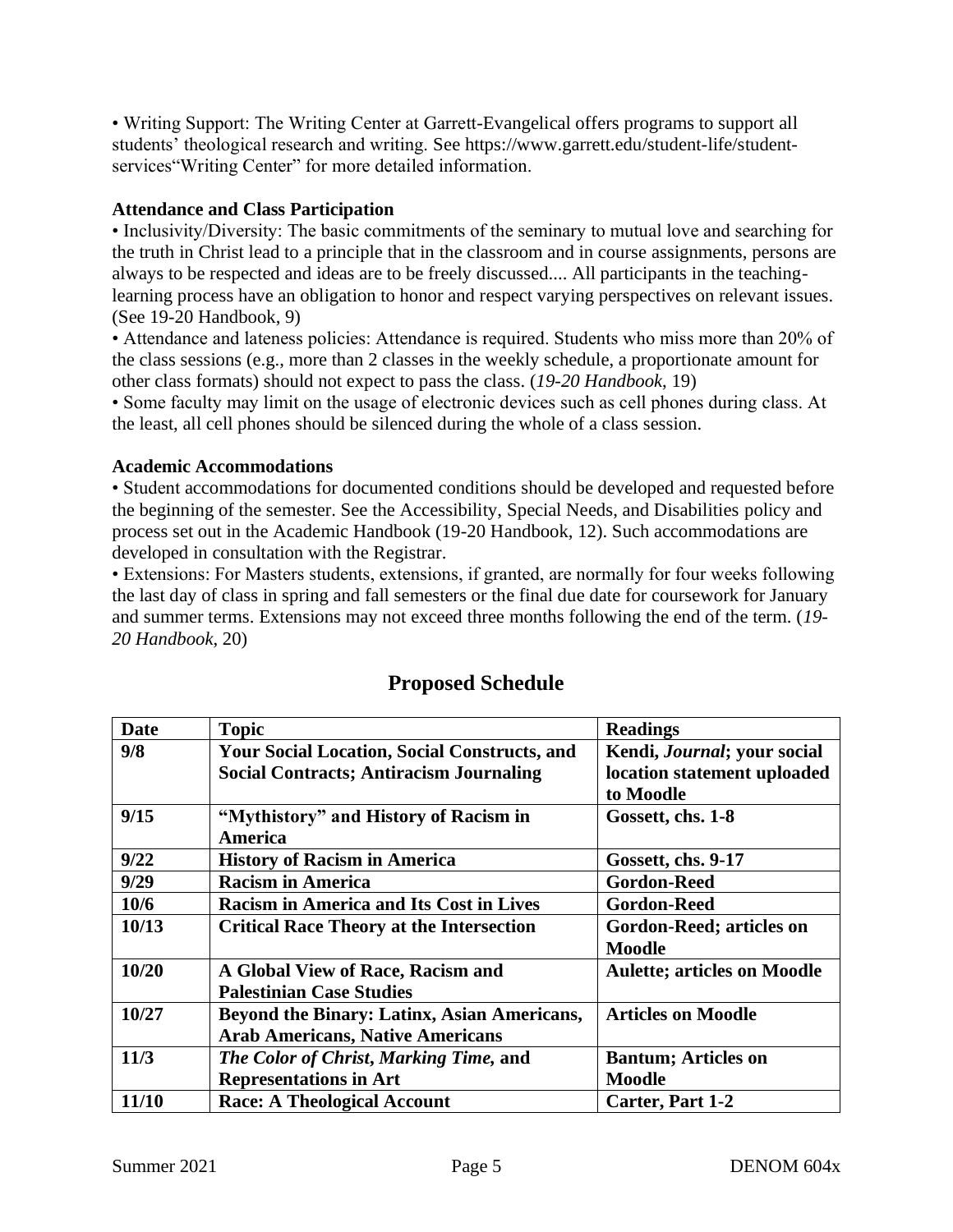• Writing Support: The Writing Center at Garrett-Evangelical offers programs to support all students' theological research and writing. See https://www.garrett.edu/student-life/studentservices"Writing Center" for more detailed information.

## **Attendance and Class Participation**

• Inclusivity/Diversity: The basic commitments of the seminary to mutual love and searching for the truth in Christ lead to a principle that in the classroom and in course assignments, persons are always to be respected and ideas are to be freely discussed.... All participants in the teachinglearning process have an obligation to honor and respect varying perspectives on relevant issues. (See 19-20 Handbook, 9)

• Attendance and lateness policies: Attendance is required. Students who miss more than 20% of the class sessions (e.g., more than 2 classes in the weekly schedule, a proportionate amount for other class formats) should not expect to pass the class. (*19-20 Handbook*, 19)

• Some faculty may limit on the usage of electronic devices such as cell phones during class. At the least, all cell phones should be silenced during the whole of a class session.

#### **Academic Accommodations**

• Student accommodations for documented conditions should be developed and requested before the beginning of the semester. See the Accessibility, Special Needs, and Disabilities policy and process set out in the Academic Handbook (19-20 Handbook, 12). Such accommodations are developed in consultation with the Registrar.

• Extensions: For Masters students, extensions, if granted, are normally for four weeks following the last day of class in spring and fall semesters or the final due date for coursework for January and summer terms. Extensions may not exceed three months following the end of the term. (*19- 20 Handbook*, 20)

| <b>Date</b> | <b>Topic</b>                                        | <b>Readings</b>                     |
|-------------|-----------------------------------------------------|-------------------------------------|
| 9/8         | <b>Your Social Location, Social Constructs, and</b> | Kendi, <i>Journal</i> ; your social |
|             | <b>Social Contracts; Antiracism Journaling</b>      | location statement uploaded         |
|             |                                                     | to Moodle                           |
| 9/15        | "Mythistory" and History of Racism in               | Gossett, chs. 1-8                   |
|             | <b>America</b>                                      |                                     |
| 9/22        | <b>History of Racism in America</b>                 | Gossett, chs. 9-17                  |
| 9/29        | <b>Racism in America</b>                            | <b>Gordon-Reed</b>                  |
| 10/6        | <b>Racism in America and Its Cost in Lives</b>      | <b>Gordon-Reed</b>                  |
| 10/13       | <b>Critical Race Theory at the Intersection</b>     | Gordon-Reed; articles on            |
|             |                                                     | <b>Moodle</b>                       |
| 10/20       | A Global View of Race, Racism and                   | <b>Aulette; articles on Moodle</b>  |
|             | <b>Palestinian Case Studies</b>                     |                                     |
| 10/27       | Beyond the Binary: Latinx, Asian Americans,         | <b>Articles on Moodle</b>           |
|             | <b>Arab Americans, Native Americans</b>             |                                     |
| 11/3        | The Color of Christ, Marking Time, and              | <b>Bantum</b> ; Articles on         |
|             | <b>Representations in Art</b>                       | <b>Moodle</b>                       |
| 11/10       | <b>Race: A Theological Account</b>                  | <b>Carter, Part 1-2</b>             |

# **Proposed Schedule**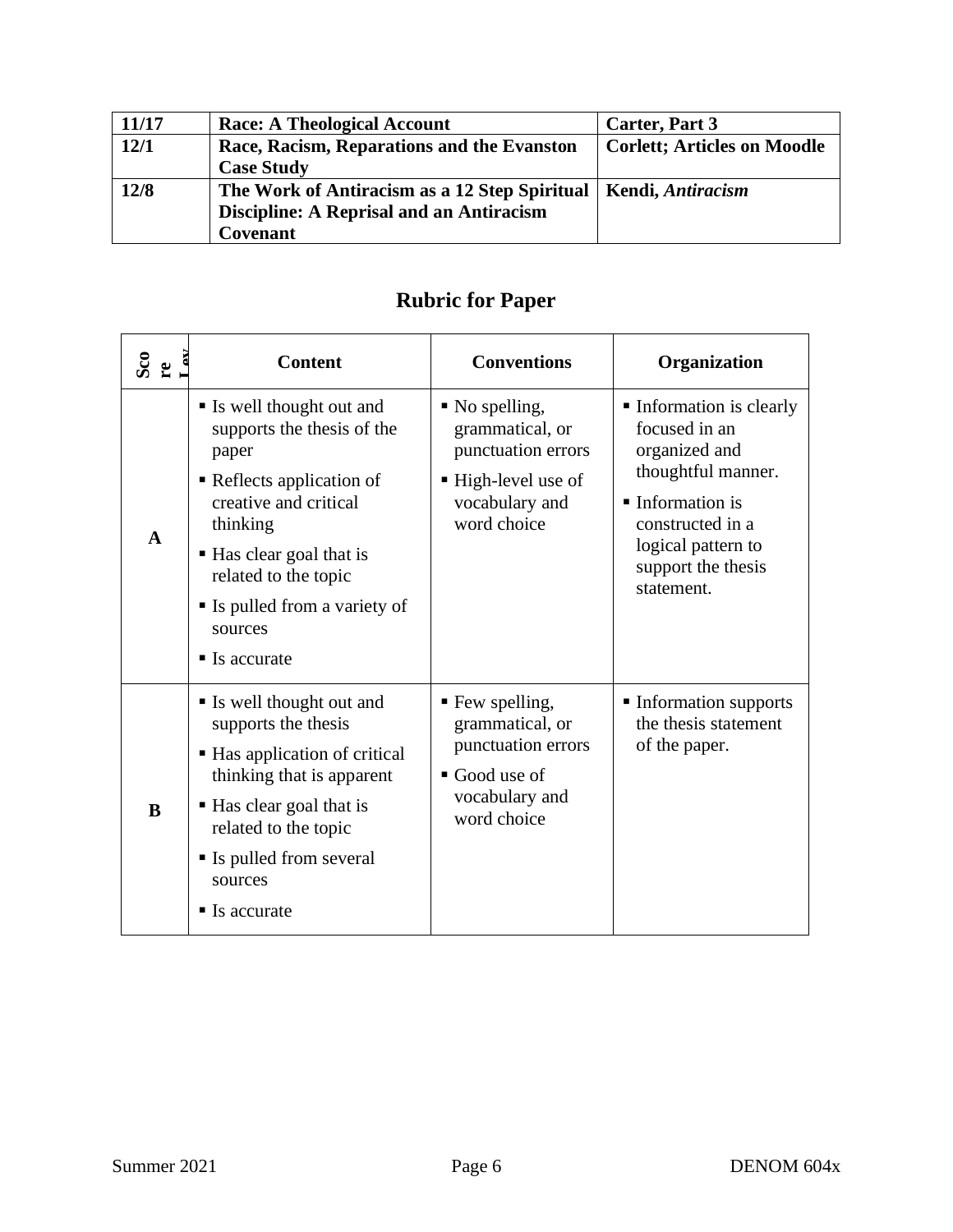| 11/17 | <b>Race: A Theological Account</b>            | Carter, Part 3                     |
|-------|-----------------------------------------------|------------------------------------|
| 12/1  | Race, Racism, Reparations and the Evanston    | <b>Corlett; Articles on Moodle</b> |
|       | <b>Case Study</b>                             |                                    |
| 12/8  | The Work of Antiracism as a 12 Step Spiritual | Kendi, Antiracism                  |
|       | Discipline: A Reprisal and an Antiracism      |                                    |
|       | Covenant                                      |                                    |

| $\frac{\text{Sco}}{\text{re}}$ | <b>Content</b>                                                                                                                                                                                                                                                   | <b>Conventions</b>                                                                                                           | Organization                                                                                                                                                                                    |
|--------------------------------|------------------------------------------------------------------------------------------------------------------------------------------------------------------------------------------------------------------------------------------------------------------|------------------------------------------------------------------------------------------------------------------------------|-------------------------------------------------------------------------------------------------------------------------------------------------------------------------------------------------|
| $\mathbf{A}$                   | • Is well thought out and<br>supports the thesis of the<br>paper<br>• Reflects application of<br>creative and critical<br>thinking<br>■ Has clear goal that is<br>related to the topic<br>• Is pulled from a variety of<br>sources<br>$\blacksquare$ Is accurate | $\blacksquare$ No spelling,<br>grammatical, or<br>punctuation errors<br>■ High-level use of<br>vocabulary and<br>word choice | • Information is clearly<br>focused in an<br>organized and<br>thoughtful manner.<br>$\blacksquare$ Information is<br>constructed in a<br>logical pattern to<br>support the thesis<br>statement. |
| B                              | Is well thought out and<br>supports the thesis<br>■ Has application of critical<br>thinking that is apparent<br>■ Has clear goal that is<br>related to the topic<br>• Is pulled from several<br>sources<br>$\blacksquare$ Is accurate                            | ■ Few spelling,<br>grammatical, or<br>punctuation errors<br>$\blacksquare$ Good use of<br>vocabulary and<br>word choice      | • Information supports<br>the thesis statement<br>of the paper.                                                                                                                                 |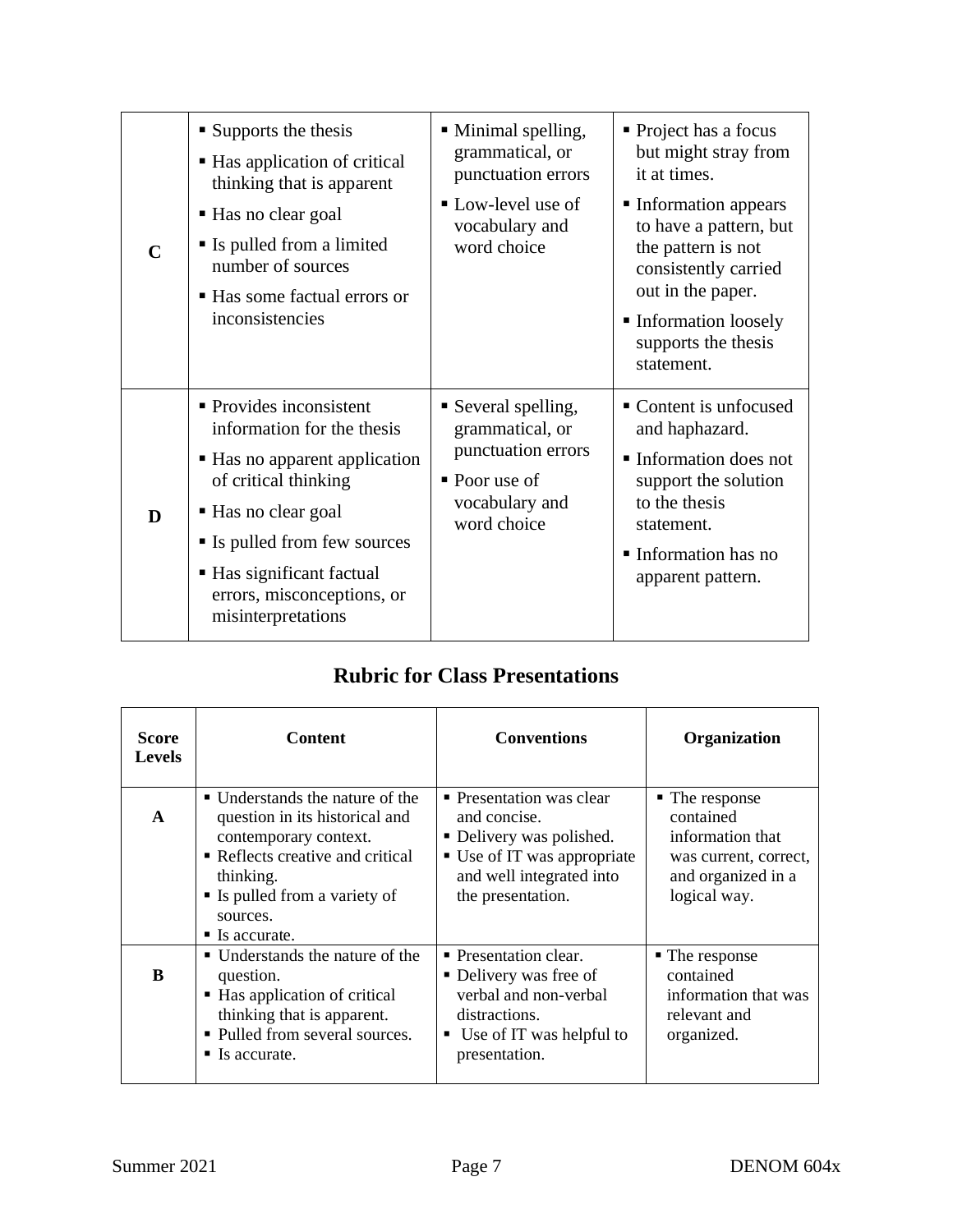| $\mathsf{C}$ | $\blacksquare$ Supports the thesis<br>■ Has application of critical<br>thinking that is apparent<br>• Has no clear goal<br>• Is pulled from a limited<br>number of sources<br>■ Has some factual errors or<br>inconsistencies                          | • Minimal spelling,<br>grammatical, or<br>punctuation errors<br>Low-level use of<br>vocabulary and<br>word choice | • Project has a focus<br>but might stray from<br>it at times.<br>• Information appears<br>to have a pattern, but<br>the pattern is not<br>consistently carried<br>out in the paper.<br>• Information loosely<br>supports the thesis<br>statement. |
|--------------|--------------------------------------------------------------------------------------------------------------------------------------------------------------------------------------------------------------------------------------------------------|-------------------------------------------------------------------------------------------------------------------|---------------------------------------------------------------------------------------------------------------------------------------------------------------------------------------------------------------------------------------------------|
| D            | • Provides inconsistent<br>information for the thesis<br>• Has no apparent application<br>of critical thinking<br>■ Has no clear goal<br>• Is pulled from few sources<br>■ Has significant factual<br>errors, misconceptions, or<br>misinterpretations | Several spelling,<br>grammatical, or<br>punctuation errors<br>• Poor use of<br>vocabulary and<br>word choice      | • Content is unfocused<br>and haphazard.<br>Information does not<br>support the solution<br>to the thesis<br>statement.<br>Information has no<br>apparent pattern.                                                                                |

# **Rubric for Class Presentations**

| Score<br><b>Levels</b> | Content                                                                                                                                                                                                                 | <b>Conventions</b>                                                                                                                                    | <b>Organization</b>                                                                                                         |
|------------------------|-------------------------------------------------------------------------------------------------------------------------------------------------------------------------------------------------------------------------|-------------------------------------------------------------------------------------------------------------------------------------------------------|-----------------------------------------------------------------------------------------------------------------------------|
| A                      | • Understands the nature of the<br>question in its historical and<br>contemporary context.<br>• Reflects creative and critical<br>thinking.<br>• Is pulled from a variety of<br>sources.<br>$\blacksquare$ Is accurate. | • Presentation was clear<br>and concise.<br>• Delivery was polished.<br>■ Use of IT was appropriate<br>and well integrated into<br>the presentation.  | $\blacksquare$ The response<br>contained<br>information that<br>was current, correct,<br>and organized in a<br>logical way. |
| B                      | ■ Understands the nature of the<br>question.<br>■ Has application of critical<br>thinking that is apparent.<br>• Pulled from several sources.<br>$\blacksquare$ Is accurate.                                            | • Presentation clear.<br>• Delivery was free of<br>verbal and non-verbal<br>distractions.<br>$\blacksquare$ Use of IT was helpful to<br>presentation. | • The response<br>contained<br>information that was<br>relevant and<br>organized.                                           |